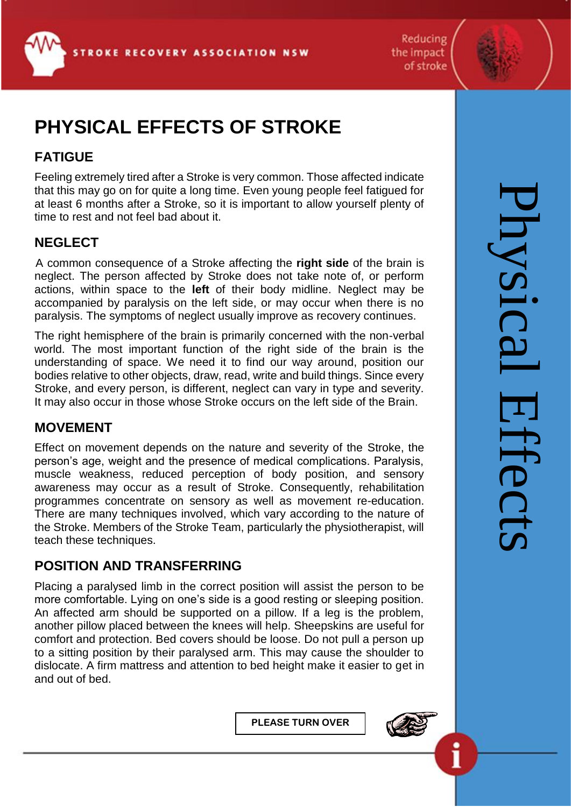Reducing the impact of stroke



# **PHYSICAL EFFECTS OF STROKE**

# **FATIGUE**

Feeling extremely tired after a Stroke is very common. Those affected indicate that this may go on for quite a long time. Even young people feel fatigued for at least 6 months after a Stroke, so it is important to allow yourself plenty of time to rest and not feel bad about it.

## **NEGLECT**

 A common consequence of a Stroke affecting the **right side** of the brain is neglect. The person affected by Stroke does not take note of, or perform actions, within space to the **left** of their body midline. Neglect may be accompanied by paralysis on the left side, or may occur when there is no paralysis. The symptoms of neglect usually improve as recovery continues.

The right hemisphere of the brain is primarily concerned with the non-verbal world. The most important function of the right side of the brain is the understanding of space. We need it to find our way around, position our bodies relative to other objects, draw, read, write and build things. Since every Stroke, and every person, is different, neglect can vary in type and severity. It may also occur in those whose Stroke occurs on the left side of the Brain.

## **MOVEMENT**

Effect on movement depends on the nature and severity of the Stroke, the person's age, weight and the presence of medical complications. Paralysis, muscle weakness, reduced perception of body position, and sensory awareness may occur as a result of Stroke. Consequently, rehabilitation programmes concentrate on sensory as well as movement re-education. There are many techniques involved, which vary according to the nature of the Stroke. Members of the Stroke Team, particularly the physiotherapist, will teach these techniques.

## **POSITION AND TRANSFERRING**

Placing a paralysed limb in the correct position will assist the person to be more comfortable. Lying on one's side is a good resting or sleeping position. An affected arm should be supported on a pillow. If a leg is the problem, another pillow placed between the knees will help. Sheepskins are useful for comfort and protection. Bed covers should be loose. Do not pull a person up to a sitting position by their paralysed arm. This may cause the shoulder to dislocate. A firm mattress and attention to bed height make it easier to get in and out of bed.

**PLEASE TURN OVER**